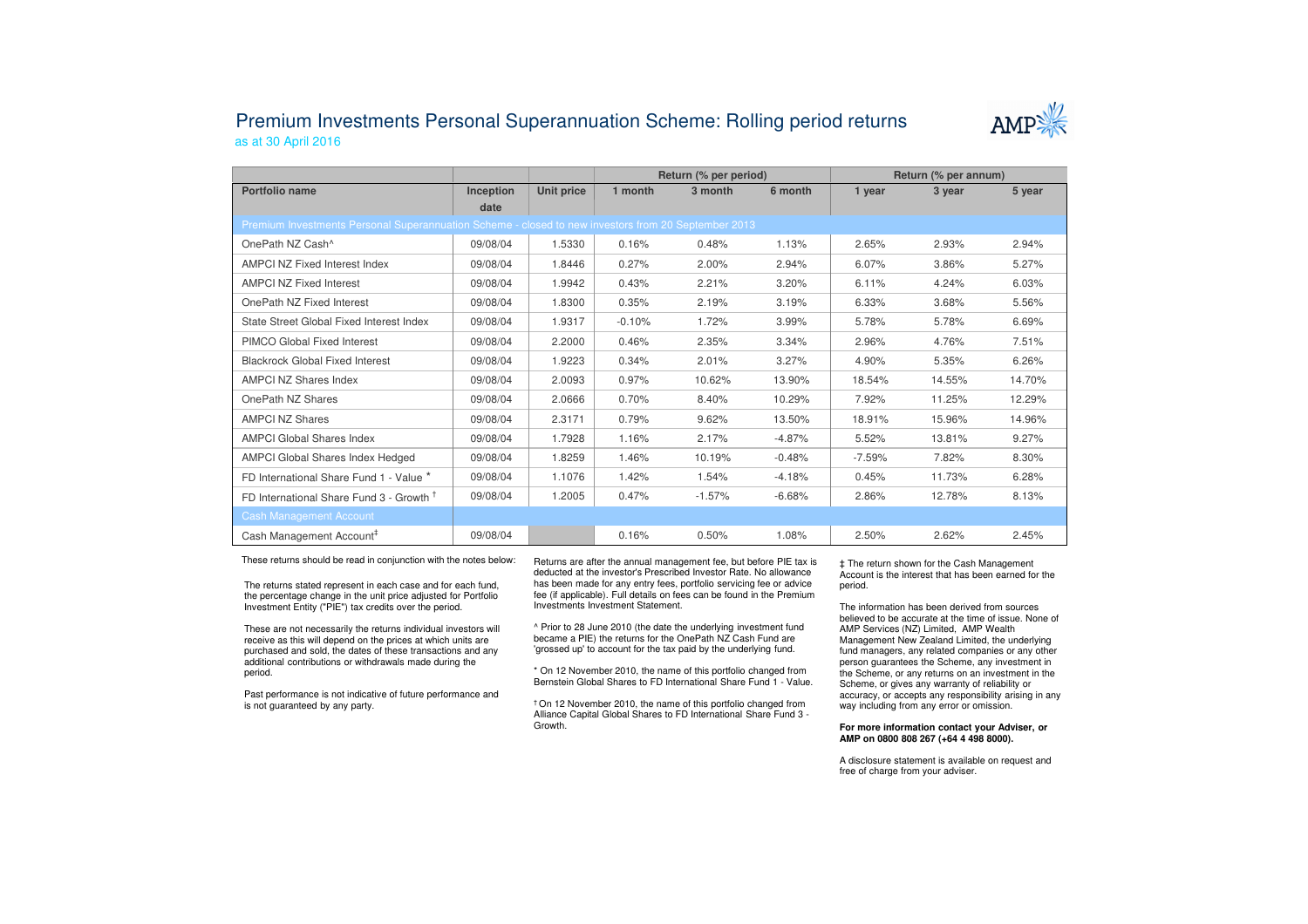## Premium Investments Personal Superannuation Scheme: Rolling period returnsas at 30 April 2016



|                                                                                                     |           |            | Return (% per period) |          |          | Return (% per annum) |        |        |  |  |  |  |
|-----------------------------------------------------------------------------------------------------|-----------|------------|-----------------------|----------|----------|----------------------|--------|--------|--|--|--|--|
| Portfolio name                                                                                      | Inception | Unit price | 1 month               | 3 month  | 6 month  | 1 year               | 3 year | 5 year |  |  |  |  |
|                                                                                                     | date      |            |                       |          |          |                      |        |        |  |  |  |  |
| Premium Investments Personal Superannuation Scheme - closed to new investors from 20 September 2013 |           |            |                       |          |          |                      |        |        |  |  |  |  |
| OnePath NZ Cash <sup>^</sup>                                                                        | 09/08/04  | 1.5330     | 0.16%                 | 0.48%    | 1.13%    | 2.65%                | 2.93%  | 2.94%  |  |  |  |  |
| <b>AMPCI NZ Fixed Interest Index</b>                                                                | 09/08/04  | 1.8446     | 0.27%                 | 2.00%    | 2.94%    | 6.07%                | 3.86%  | 5.27%  |  |  |  |  |
| <b>AMPCI NZ Fixed Interest</b>                                                                      | 09/08/04  | 1.9942     | 0.43%                 | 2.21%    | 3.20%    | 6.11%                | 4.24%  | 6.03%  |  |  |  |  |
| OnePath NZ Fixed Interest                                                                           | 09/08/04  | 1.8300     | 0.35%                 | 2.19%    | 3.19%    | 6.33%                | 3.68%  | 5.56%  |  |  |  |  |
| State Street Global Fixed Interest Index                                                            | 09/08/04  | 1.9317     | $-0.10%$              | 1.72%    | 3.99%    | 5.78%                | 5.78%  | 6.69%  |  |  |  |  |
| PIMCO Global Fixed Interest                                                                         | 09/08/04  | 2.2000     | 0.46%                 | 2.35%    | 3.34%    | 2.96%                | 4.76%  | 7.51%  |  |  |  |  |
| <b>Blackrock Global Fixed Interest</b>                                                              | 09/08/04  | 1.9223     | 0.34%                 | 2.01%    | 3.27%    | 4.90%                | 5.35%  | 6.26%  |  |  |  |  |
| <b>AMPCI NZ Shares Index</b>                                                                        | 09/08/04  | 2.0093     | 0.97%                 | 10.62%   | 13.90%   | 18.54%               | 14.55% | 14.70% |  |  |  |  |
| OnePath NZ Shares                                                                                   | 09/08/04  | 2.0666     | 0.70%                 | 8.40%    | 10.29%   | 7.92%                | 11.25% | 12.29% |  |  |  |  |
| <b>AMPCI NZ Shares</b>                                                                              | 09/08/04  | 2.3171     | 0.79%                 | 9.62%    | 13.50%   | 18.91%               | 15.96% | 14.96% |  |  |  |  |
| <b>AMPCI Global Shares Index</b>                                                                    | 09/08/04  | 1.7928     | 1.16%                 | 2.17%    | $-4.87%$ | 5.52%                | 13.81% | 9.27%  |  |  |  |  |
| AMPCI Global Shares Index Hedged                                                                    | 09/08/04  | 1.8259     | 1.46%                 | 10.19%   | $-0.48%$ | $-7.59%$             | 7.82%  | 8.30%  |  |  |  |  |
| FD International Share Fund 1 - Value *                                                             | 09/08/04  | 1.1076     | 1.42%                 | 1.54%    | $-4.18%$ | 0.45%                | 11.73% | 6.28%  |  |  |  |  |
| FD International Share Fund 3 - Growth <sup>†</sup>                                                 | 09/08/04  | 1.2005     | 0.47%                 | $-1.57%$ | $-6.68%$ | 2.86%                | 12.78% | 8.13%  |  |  |  |  |
| <b>Cash Management Account</b>                                                                      |           |            |                       |          |          |                      |        |        |  |  |  |  |
| Cash Management Account <sup>#</sup>                                                                | 09/08/04  |            | 0.16%                 | 0.50%    | 1.08%    | 2.50%                | 2.62%  | 2.45%  |  |  |  |  |

These returns should be read in conjunction with the notes below:

The returns stated represent in each case and for each fund, the percentage change in the unit price adjusted for Portfolio Investment Entity ("PIE") tax credits over the period.

These are not necessarily the returns individual investors will receive as this will depend on the prices at which units are purchased and sold, the dates of these transactions and any additional contributions or withdrawals made during the period.

Past performance is not indicative of future performance and is not guaranteed by any party.

Returns are after the annual management fee, but before PIE tax is deducted at the investor's Prescribed Investor Rate. No allowance has been made for any entry fees, portfolio servicing fee or advice fee (if applicable). Full details on fees can be found in the Premium Investments Investment Statement.

^ Prior to 28 June 2010 (the date the underlying investment fund became a PIE) the returns for the OnePath NZ Cash Fund are 'grossed up' to account for the tax paid by the underlying fund.

\* On 12 November 2010, the name of this portfolio changed from Bernstein Global Shares to FD International Share Fund 1 - Value.

† On 12 November 2010, the name of this portfolio changed from Alliance Capital Global Shares to FD International Share Fund 3 -Growth.

‡ The return shown for the Cash Management Account is the interest that has been earned for the period.

The information has been derived from sources believed to be accurate at the time of issue. None of AMP Services (NZ) Limited, AMP Wealth Management New Zealand Limited, the underlying fund managers, any related companies or any other person guarantees the Scheme, any investment in the Scheme, or any returns on an investment in the Scheme, or gives any warranty of reliability or accuracy, or accepts any responsibility arising in any way including from any error or omission.

## **For more information contact your Adviser, or AMP on 0800 808 267 (+64 4 498 8000).**

A disclosure statement is available on request and free of charge from your adviser.